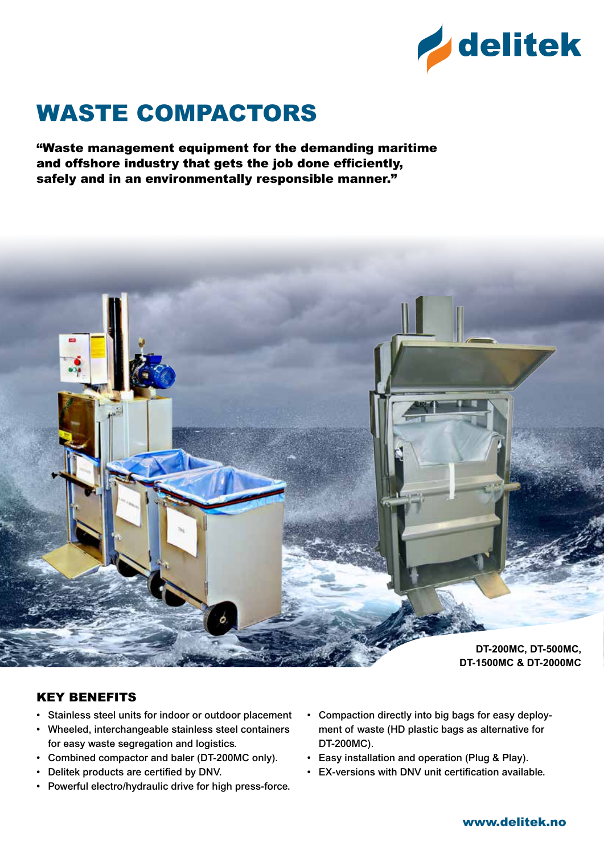

# Waste Compactors

"Waste management equipment for the demanding maritime and offshore industry that gets the job done efficiently, safely and in an environmentally responsible manner."



#### Key Benefits

- Stainless steel units for indoor or outdoor placement
- Wheeled, interchangeable stainless steel containers for easy waste segregation and logistics.
- Combined compactor and baler (DT-200MC only).
- Delitek products are certified by DNV.
- Powerful electro/hydraulic drive for high press-force.
- Compaction directly into big bags for easy deployment of waste (HD plastic bags as alternative for DT-200MC).
- Easy installation and operation (Plug & Play).
- EX-versions with DNV unit certification available.